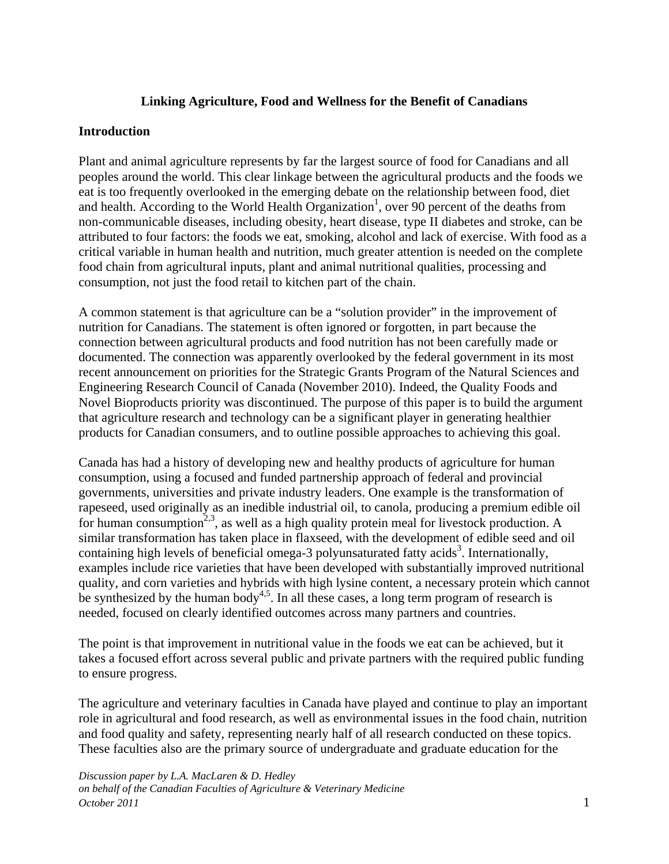### **Linking Agriculture, Food and Wellness for the Benefit of Canadians**

#### **Introduction**

Plant and animal agriculture represents by far the largest source of food for Canadians and all peoples around the world. This clear linkage between the agricultural products and the foods we eat is too frequently overlooked in the emerging debate on the relationship between food, diet and health. According to the World Health Organization<sup>1</sup>, over 90 percent of the deaths from non-communicable diseases, including obesity, heart disease, type II diabetes and stroke, can be attributed to four factors: the foods we eat, smoking, alcohol and lack of exercise. With food as a critical variable in human health and nutrition, much greater attention is needed on the complete food chain from agricultural inputs, plant and animal nutritional qualities, processing and consumption, not just the food retail to kitchen part of the chain.

A common statement is that agriculture can be a "solution provider" in the improvement of nutrition for Canadians. The statement is often ignored or forgotten, in part because the connection between agricultural products and food nutrition has not been carefully made or documented. The connection was apparently overlooked by the federal government in its most recent announcement on priorities for the Strategic Grants Program of the Natural Sciences and Engineering Research Council of Canada (November 2010). Indeed, the Quality Foods and Novel Bioproducts priority was discontinued. The purpose of this paper is to build the argument that agriculture research and technology can be a significant player in generating healthier products for Canadian consumers, and to outline possible approaches to achieving this goal.

Canada has had a history of developing new and healthy products of agriculture for human consumption, using a focused and funded partnership approach of federal and provincial governments, universities and private industry leaders. One example is the transformation of rapeseed, used originally as an inedible industrial oil, to canola, producing a premium edible oil for human consumption<sup>2,3</sup>, as well as a high quality protein meal for livestock production. A similar transformation has taken place in flaxseed, with the development of edible seed and oil containing high levels of beneficial omega-3 polyunsaturated fatty  $acids<sup>3</sup>$ . Internationally, examples include rice varieties that have been developed with substantially improved nutritional quality, and corn varieties and hybrids with high lysine content, a necessary protein which cannot be synthesized by the human body<sup>4,5</sup>. In all these cases, a long term program of research is needed, focused on clearly identified outcomes across many partners and countries.

The point is that improvement in nutritional value in the foods we eat can be achieved, but it takes a focused effort across several public and private partners with the required public funding to ensure progress.

The agriculture and veterinary faculties in Canada have played and continue to play an important role in agricultural and food research, as well as environmental issues in the food chain, nutrition and food quality and safety, representing nearly half of all research conducted on these topics. These faculties also are the primary source of undergraduate and graduate education for the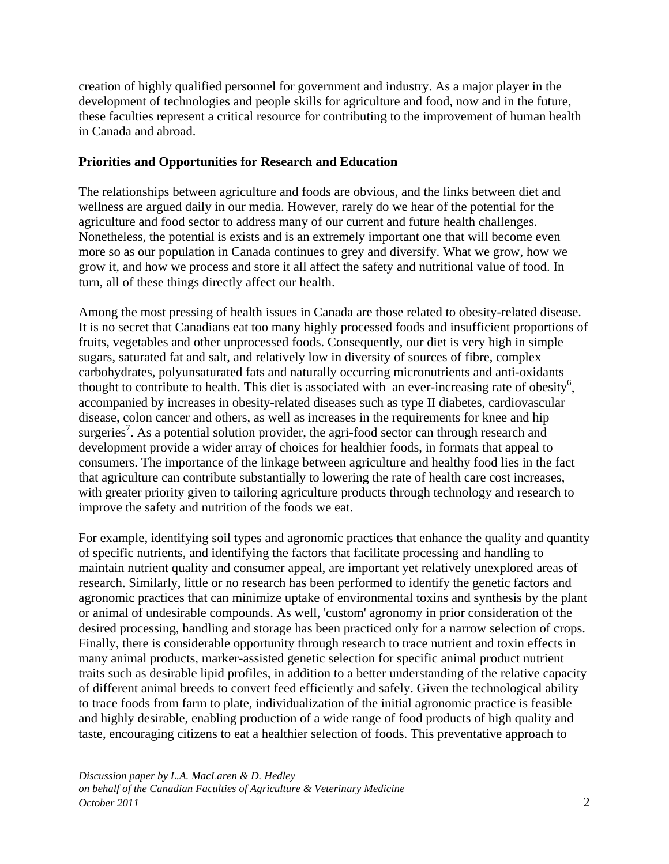creation of highly qualified personnel for government and industry. As a major player in the development of technologies and people skills for agriculture and food, now and in the future, these faculties represent a critical resource for contributing to the improvement of human health in Canada and abroad.

### **Priorities and Opportunities for Research and Education**

The relationships between agriculture and foods are obvious, and the links between diet and wellness are argued daily in our media. However, rarely do we hear of the potential for the agriculture and food sector to address many of our current and future health challenges. Nonetheless, the potential is exists and is an extremely important one that will become even more so as our population in Canada continues to grey and diversify. What we grow, how we grow it, and how we process and store it all affect the safety and nutritional value of food. In turn, all of these things directly affect our health.

Among the most pressing of health issues in Canada are those related to obesity-related disease. It is no secret that Canadians eat too many highly processed foods and insufficient proportions of fruits, vegetables and other unprocessed foods. Consequently, our diet is very high in simple sugars, saturated fat and salt, and relatively low in diversity of sources of fibre, complex carbohydrates, polyunsaturated fats and naturally occurring micronutrients and anti-oxidants thought to contribute to health. This diet is associated with an ever-increasing rate of obesity<sup>6</sup>, accompanied by increases in obesity-related diseases such as type II diabetes, cardiovascular disease, colon cancer and others, as well as increases in the requirements for knee and hip surgeries<sup>7</sup>. As a potential solution provider, the agri-food sector can through research and development provide a wider array of choices for healthier foods, in formats that appeal to consumers. The importance of the linkage between agriculture and healthy food lies in the fact that agriculture can contribute substantially to lowering the rate of health care cost increases, with greater priority given to tailoring agriculture products through technology and research to improve the safety and nutrition of the foods we eat.

For example, identifying soil types and agronomic practices that enhance the quality and quantity of specific nutrients, and identifying the factors that facilitate processing and handling to maintain nutrient quality and consumer appeal, are important yet relatively unexplored areas of research. Similarly, little or no research has been performed to identify the genetic factors and agronomic practices that can minimize uptake of environmental toxins and synthesis by the plant or animal of undesirable compounds. As well, 'custom' agronomy in prior consideration of the desired processing, handling and storage has been practiced only for a narrow selection of crops. Finally, there is considerable opportunity through research to trace nutrient and toxin effects in many animal products, marker-assisted genetic selection for specific animal product nutrient traits such as desirable lipid profiles, in addition to a better understanding of the relative capacity of different animal breeds to convert feed efficiently and safely. Given the technological ability to trace foods from farm to plate, individualization of the initial agronomic practice is feasible and highly desirable, enabling production of a wide range of food products of high quality and taste, encouraging citizens to eat a healthier selection of foods. This preventative approach to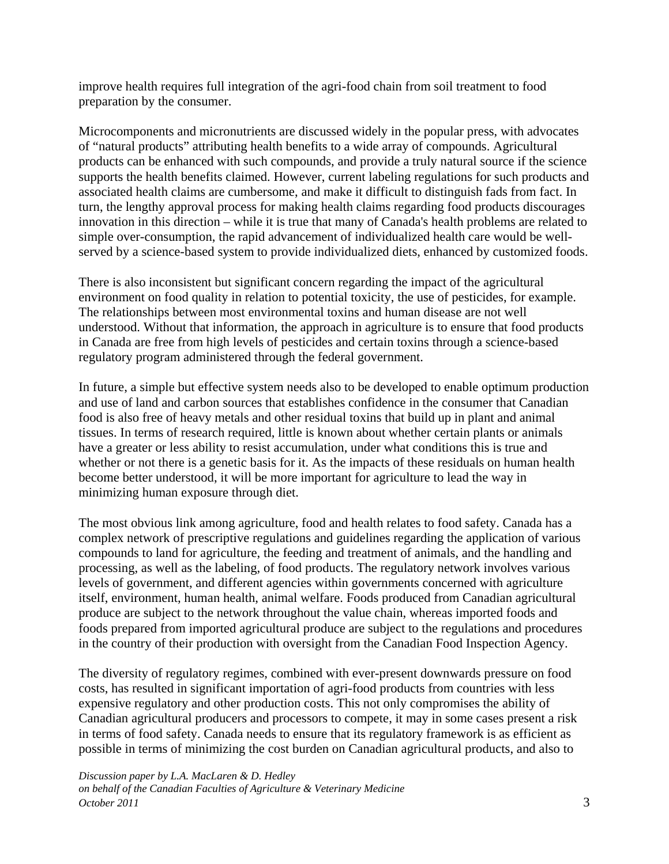improve health requires full integration of the agri-food chain from soil treatment to food preparation by the consumer.

Microcomponents and micronutrients are discussed widely in the popular press, with advocates of "natural products" attributing health benefits to a wide array of compounds. Agricultural products can be enhanced with such compounds, and provide a truly natural source if the science supports the health benefits claimed. However, current labeling regulations for such products and associated health claims are cumbersome, and make it difficult to distinguish fads from fact. In turn, the lengthy approval process for making health claims regarding food products discourages innovation in this direction – while it is true that many of Canada's health problems are related to simple over-consumption, the rapid advancement of individualized health care would be wellserved by a science-based system to provide individualized diets, enhanced by customized foods.

There is also inconsistent but significant concern regarding the impact of the agricultural environment on food quality in relation to potential toxicity, the use of pesticides, for example. The relationships between most environmental toxins and human disease are not well understood. Without that information, the approach in agriculture is to ensure that food products in Canada are free from high levels of pesticides and certain toxins through a science-based regulatory program administered through the federal government.

In future, a simple but effective system needs also to be developed to enable optimum production and use of land and carbon sources that establishes confidence in the consumer that Canadian food is also free of heavy metals and other residual toxins that build up in plant and animal tissues. In terms of research required, little is known about whether certain plants or animals have a greater or less ability to resist accumulation, under what conditions this is true and whether or not there is a genetic basis for it. As the impacts of these residuals on human health become better understood, it will be more important for agriculture to lead the way in minimizing human exposure through diet.

The most obvious link among agriculture, food and health relates to food safety. Canada has a complex network of prescriptive regulations and guidelines regarding the application of various compounds to land for agriculture, the feeding and treatment of animals, and the handling and processing, as well as the labeling, of food products. The regulatory network involves various levels of government, and different agencies within governments concerned with agriculture itself, environment, human health, animal welfare. Foods produced from Canadian agricultural produce are subject to the network throughout the value chain, whereas imported foods and foods prepared from imported agricultural produce are subject to the regulations and procedures in the country of their production with oversight from the Canadian Food Inspection Agency.

The diversity of regulatory regimes, combined with ever-present downwards pressure on food costs, has resulted in significant importation of agri-food products from countries with less expensive regulatory and other production costs. This not only compromises the ability of Canadian agricultural producers and processors to compete, it may in some cases present a risk in terms of food safety. Canada needs to ensure that its regulatory framework is as efficient as possible in terms of minimizing the cost burden on Canadian agricultural products, and also to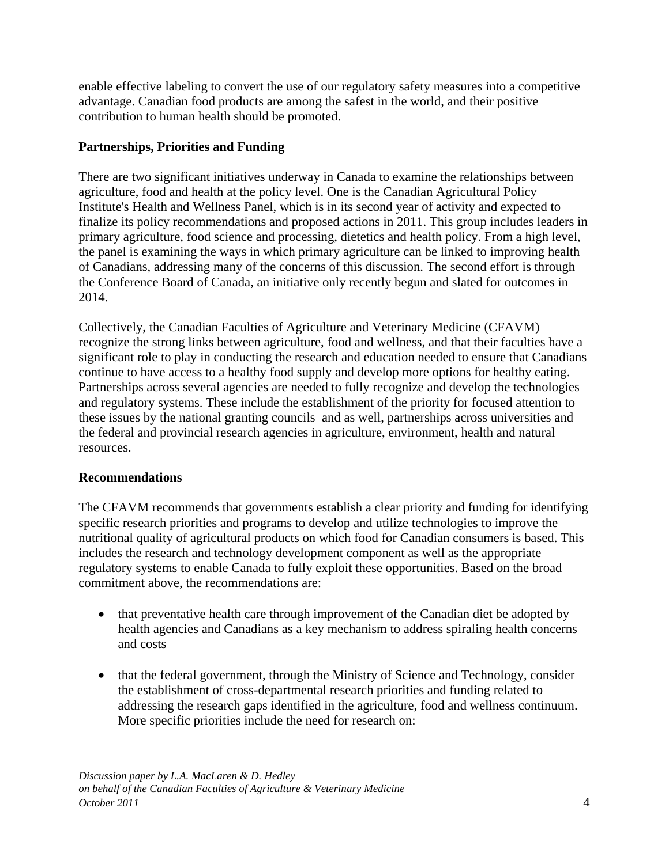enable effective labeling to convert the use of our regulatory safety measures into a competitive advantage. Canadian food products are among the safest in the world, and their positive contribution to human health should be promoted.

## **Partnerships, Priorities and Funding**

There are two significant initiatives underway in Canada to examine the relationships between agriculture, food and health at the policy level. One is the Canadian Agricultural Policy Institute's Health and Wellness Panel, which is in its second year of activity and expected to finalize its policy recommendations and proposed actions in 2011. This group includes leaders in primary agriculture, food science and processing, dietetics and health policy. From a high level, the panel is examining the ways in which primary agriculture can be linked to improving health of Canadians, addressing many of the concerns of this discussion. The second effort is through the Conference Board of Canada, an initiative only recently begun and slated for outcomes in 2014.

Collectively, the Canadian Faculties of Agriculture and Veterinary Medicine (CFAVM) recognize the strong links between agriculture, food and wellness, and that their faculties have a significant role to play in conducting the research and education needed to ensure that Canadians continue to have access to a healthy food supply and develop more options for healthy eating. Partnerships across several agencies are needed to fully recognize and develop the technologies and regulatory systems. These include the establishment of the priority for focused attention to these issues by the national granting councils and as well, partnerships across universities and the federal and provincial research agencies in agriculture, environment, health and natural resources.

# **Recommendations**

The CFAVM recommends that governments establish a clear priority and funding for identifying specific research priorities and programs to develop and utilize technologies to improve the nutritional quality of agricultural products on which food for Canadian consumers is based. This includes the research and technology development component as well as the appropriate regulatory systems to enable Canada to fully exploit these opportunities. Based on the broad commitment above, the recommendations are:

- that preventative health care through improvement of the Canadian diet be adopted by health agencies and Canadians as a key mechanism to address spiraling health concerns and costs
- that the federal government, through the Ministry of Science and Technology, consider the establishment of cross-departmental research priorities and funding related to addressing the research gaps identified in the agriculture, food and wellness continuum. More specific priorities include the need for research on: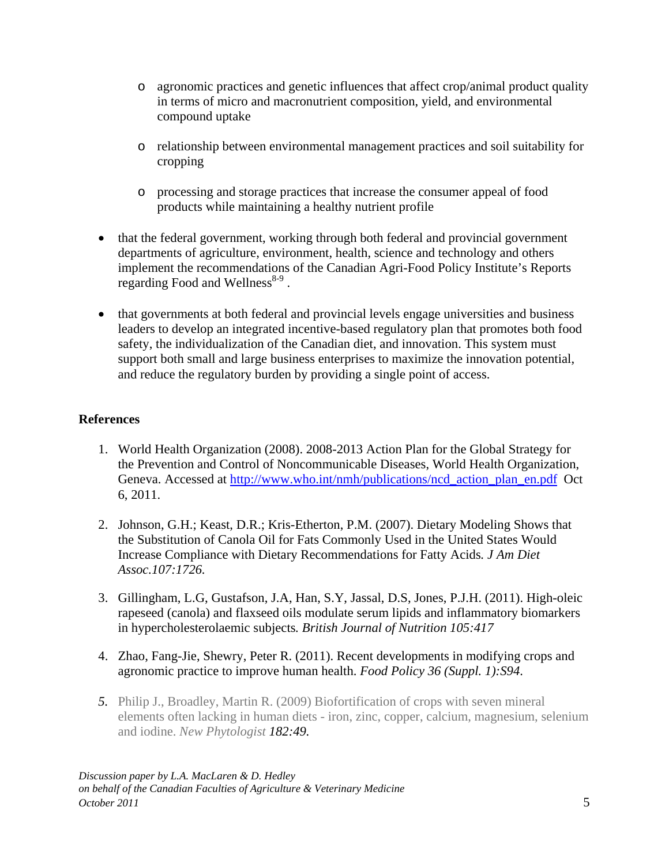- o agronomic practices and genetic influences that affect crop/animal product quality in terms of micro and macronutrient composition, yield, and environmental compound uptake
- o relationship between environmental management practices and soil suitability for cropping
- o processing and storage practices that increase the consumer appeal of food products while maintaining a healthy nutrient profile
- that the federal government, working through both federal and provincial government departments of agriculture, environment, health, science and technology and others implement the recommendations of the Canadian Agri-Food Policy Institute's Reports regarding Food and Wellness $8-9$ .
- that governments at both federal and provincial levels engage universities and business leaders to develop an integrated incentive-based regulatory plan that promotes both food safety, the individualization of the Canadian diet, and innovation. This system must support both small and large business enterprises to maximize the innovation potential, and reduce the regulatory burden by providing a single point of access.

# **References**

- 1. World Health Organization (2008). 2008-2013 Action Plan for the Global Strategy for the Prevention and Control of Noncommunicable Diseases, World Health Organization, Geneva. Accessed at http://www.who.int/nmh/publications/ncd\_action\_plan\_en.pdf Oct 6, 2011.
- 2. Johnson, G.H.; Keast, D.R.; Kris-Etherton, P.M. (2007). Dietary Modeling Shows that the Substitution of Canola Oil for Fats Commonly Used in the United States Would Increase Compliance with Dietary Recommendations for Fatty Acids*. J Am Diet Assoc.107:1726.*
- 3. Gillingham, L.G, Gustafson, J.A, Han, S.Y, Jassal, D.S, Jones, P.J.H. (2011). High-oleic rapeseed (canola) and flaxseed oils modulate serum lipids and inflammatory biomarkers in hypercholesterolaemic subjects*. British Journal of Nutrition 105:417*
- 4. Zhao, Fang-Jie, Shewry, Peter R. (2011). Recent developments in modifying crops and agronomic practice to improve human health. *Food Policy 36 (Suppl. 1):S94*.
- *5.* Philip J., Broadley, Martin R. (2009) Biofortification of crops with seven mineral elements often lacking in human diets - iron, zinc, copper, calcium, magnesium, selenium and iodine. *New Phytologist 182:49.*